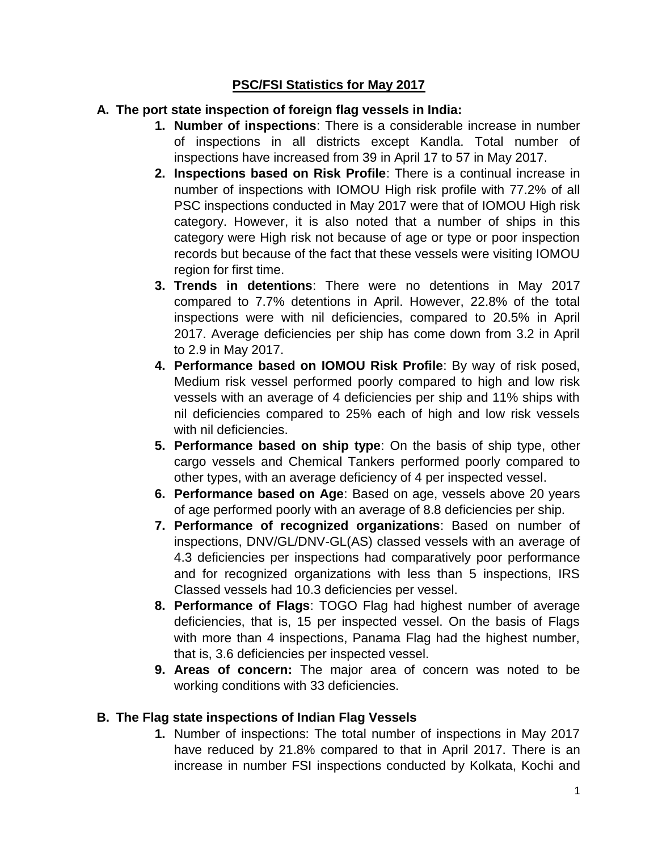#### **PSC/FSI Statistics for May 2017**

#### **A. The port state inspection of foreign flag vessels in India:**

- **1. Number of inspections**: There is a considerable increase in number of inspections in all districts except Kandla. Total number of inspections have increased from 39 in April 17 to 57 in May 2017.
- **2. Inspections based on Risk Profile**: There is a continual increase in number of inspections with IOMOU High risk profile with 77.2% of all PSC inspections conducted in May 2017 were that of IOMOU High risk category. However, it is also noted that a number of ships in this category were High risk not because of age or type or poor inspection records but because of the fact that these vessels were visiting IOMOU region for first time.
- **3. Trends in detentions**: There were no detentions in May 2017 compared to 7.7% detentions in April. However, 22.8% of the total inspections were with nil deficiencies, compared to 20.5% in April 2017. Average deficiencies per ship has come down from 3.2 in April to 2.9 in May 2017.
- **4. Performance based on IOMOU Risk Profile**: By way of risk posed, Medium risk vessel performed poorly compared to high and low risk vessels with an average of 4 deficiencies per ship and 11% ships with nil deficiencies compared to 25% each of high and low risk vessels with nil deficiencies.
- **5. Performance based on ship type**: On the basis of ship type, other cargo vessels and Chemical Tankers performed poorly compared to other types, with an average deficiency of 4 per inspected vessel.
- **6. Performance based on Age**: Based on age, vessels above 20 years of age performed poorly with an average of 8.8 deficiencies per ship.
- **7. Performance of recognized organizations**: Based on number of inspections, DNV/GL/DNV-GL(AS) classed vessels with an average of 4.3 deficiencies per inspections had comparatively poor performance and for recognized organizations with less than 5 inspections, IRS Classed vessels had 10.3 deficiencies per vessel.
- **8. Performance of Flags**: TOGO Flag had highest number of average deficiencies, that is, 15 per inspected vessel. On the basis of Flags with more than 4 inspections, Panama Flag had the highest number, that is, 3.6 deficiencies per inspected vessel.
- **9. Areas of concern:** The major area of concern was noted to be working conditions with 33 deficiencies.

#### **B. The Flag state inspections of Indian Flag Vessels**

**1.** Number of inspections: The total number of inspections in May 2017 have reduced by 21.8% compared to that in April 2017. There is an increase in number FSI inspections conducted by Kolkata, Kochi and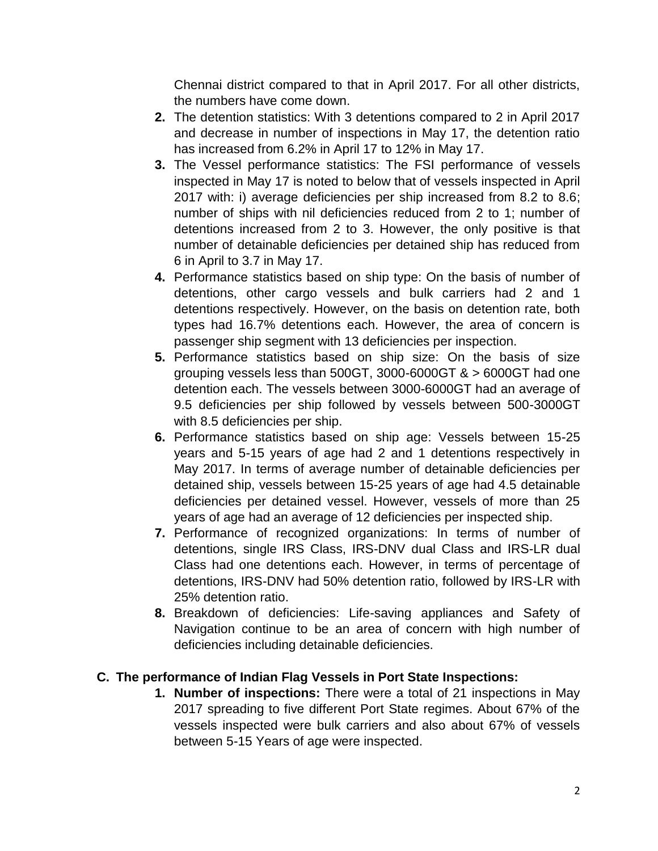Chennai district compared to that in April 2017. For all other districts, the numbers have come down.

- **2.** The detention statistics: With 3 detentions compared to 2 in April 2017 and decrease in number of inspections in May 17, the detention ratio has increased from 6.2% in April 17 to 12% in May 17.
- **3.** The Vessel performance statistics: The FSI performance of vessels inspected in May 17 is noted to below that of vessels inspected in April 2017 with: i) average deficiencies per ship increased from 8.2 to 8.6; number of ships with nil deficiencies reduced from 2 to 1; number of detentions increased from 2 to 3. However, the only positive is that number of detainable deficiencies per detained ship has reduced from 6 in April to 3.7 in May 17.
- **4.** Performance statistics based on ship type: On the basis of number of detentions, other cargo vessels and bulk carriers had 2 and 1 detentions respectively. However, on the basis on detention rate, both types had 16.7% detentions each. However, the area of concern is passenger ship segment with 13 deficiencies per inspection.
- **5.** Performance statistics based on ship size: On the basis of size grouping vessels less than 500GT, 3000-6000GT & > 6000GT had one detention each. The vessels between 3000-6000GT had an average of 9.5 deficiencies per ship followed by vessels between 500-3000GT with 8.5 deficiencies per ship.
- **6.** Performance statistics based on ship age: Vessels between 15-25 years and 5-15 years of age had 2 and 1 detentions respectively in May 2017. In terms of average number of detainable deficiencies per detained ship, vessels between 15-25 years of age had 4.5 detainable deficiencies per detained vessel. However, vessels of more than 25 years of age had an average of 12 deficiencies per inspected ship.
- **7.** Performance of recognized organizations: In terms of number of detentions, single IRS Class, IRS-DNV dual Class and IRS-LR dual Class had one detentions each. However, in terms of percentage of detentions, IRS-DNV had 50% detention ratio, followed by IRS-LR with 25% detention ratio.
- **8.** Breakdown of deficiencies: Life-saving appliances and Safety of Navigation continue to be an area of concern with high number of deficiencies including detainable deficiencies.

#### **C. The performance of Indian Flag Vessels in Port State Inspections:**

**1. Number of inspections:** There were a total of 21 inspections in May 2017 spreading to five different Port State regimes. About 67% of the vessels inspected were bulk carriers and also about 67% of vessels between 5-15 Years of age were inspected.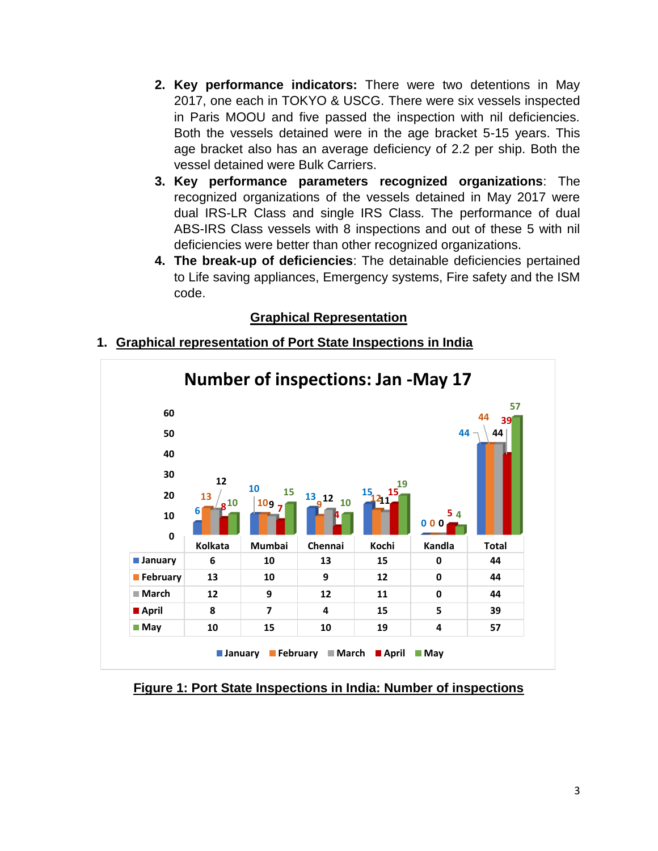- **2. Key performance indicators:** There were two detentions in May 2017, one each in TOKYO & USCG. There were six vessels inspected in Paris MOOU and five passed the inspection with nil deficiencies. Both the vessels detained were in the age bracket 5-15 years. This age bracket also has an average deficiency of 2.2 per ship. Both the vessel detained were Bulk Carriers.
- **3. Key performance parameters recognized organizations**: The recognized organizations of the vessels detained in May 2017 were dual IRS-LR Class and single IRS Class. The performance of dual ABS-IRS Class vessels with 8 inspections and out of these 5 with nil deficiencies were better than other recognized organizations.
- **4. The break-up of deficiencies**: The detainable deficiencies pertained to Life saving appliances, Emergency systems, Fire safety and the ISM code.

#### **Graphical Representation**

#### **1. Graphical representation of Port State Inspections in India**



**Figure 1: Port State Inspections in India: Number of inspections**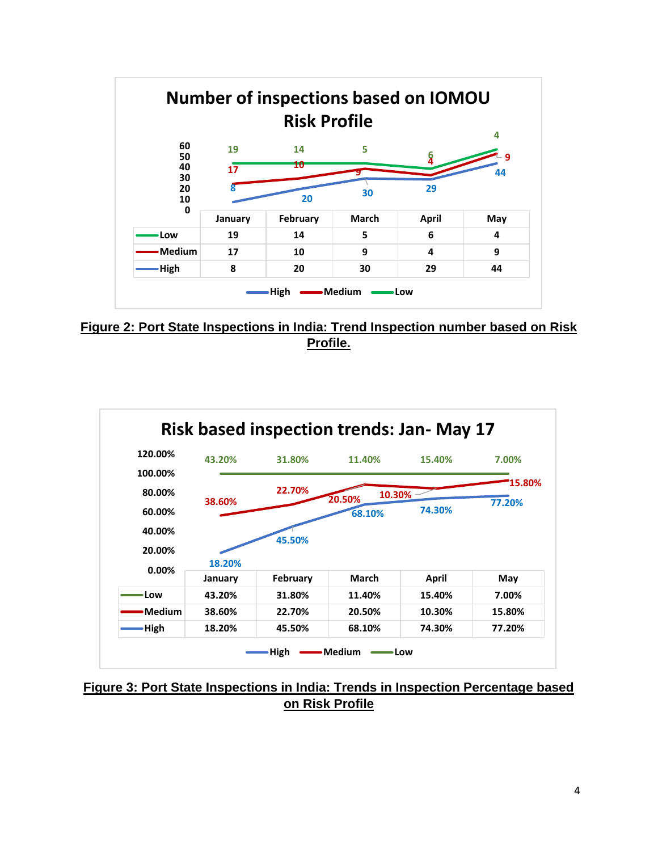

**Figure 2: Port State Inspections in India: Trend Inspection number based on Risk Profile.**



**Figure 3: Port State Inspections in India: Trends in Inspection Percentage based on Risk Profile**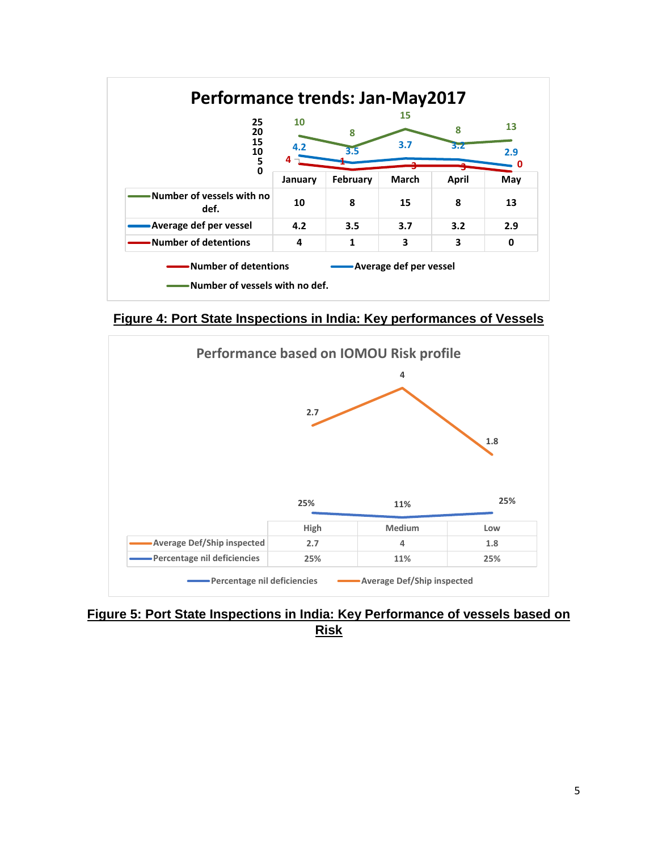

**Figure 4: Port State Inspections in India: Key performances of Vessels**



**Figure 5: Port State Inspections in India: Key Performance of vessels based on Risk**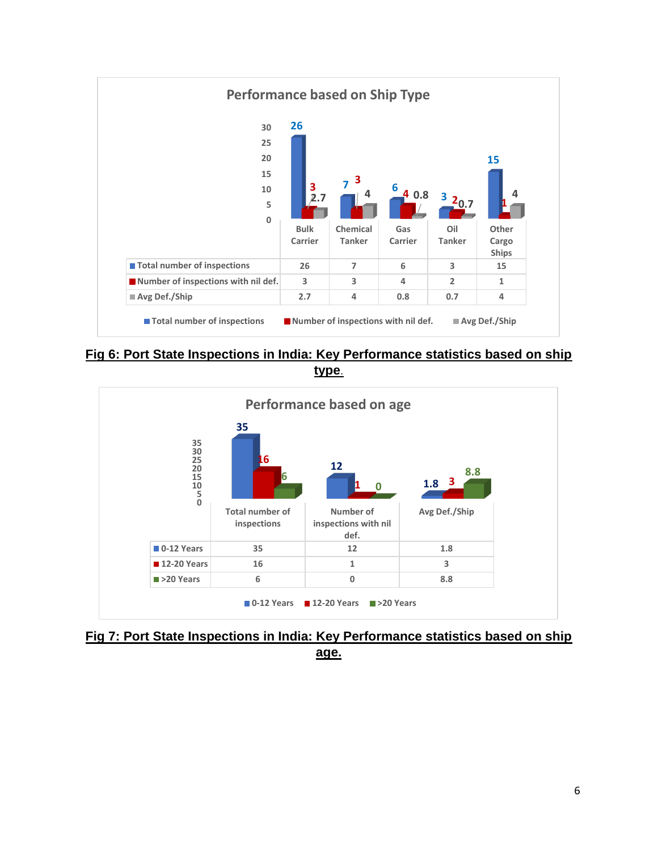

**Fig 6: Port State Inspections in India: Key Performance statistics based on ship type**.



**Fig 7: Port State Inspections in India: Key Performance statistics based on ship age.**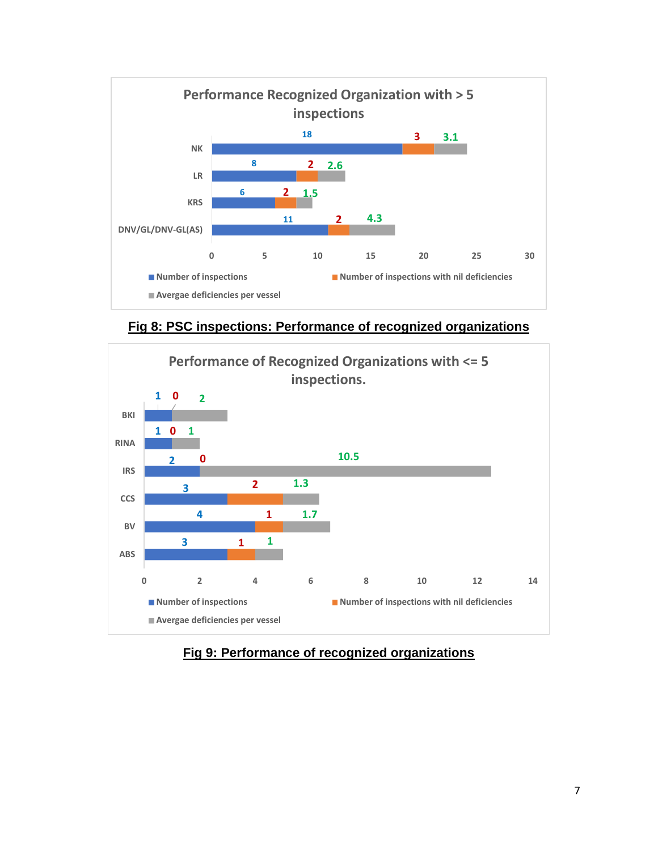

**Fig 8: PSC inspections: Performance of recognized organizations**



### **Fig 9: Performance of recognized organizations**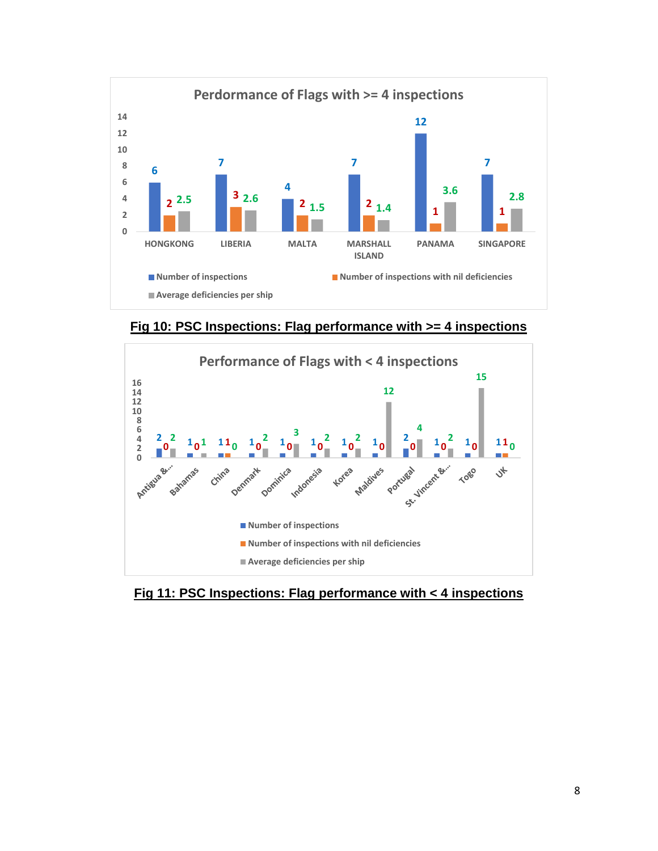

**Fig 10: PSC Inspections: Flag performance with >= 4 inspections**



**Fig 11: PSC Inspections: Flag performance with < 4 inspections**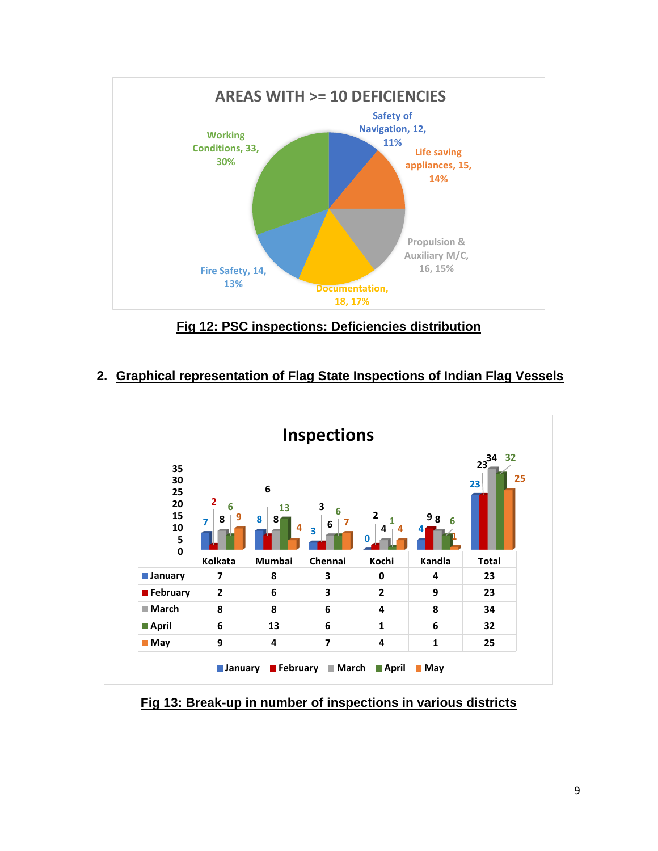

**Fig 12: PSC inspections: Deficiencies distribution**

### **2. Graphical representation of Flag State Inspections of Indian Flag Vessels**



**Fig 13: Break-up in number of inspections in various districts**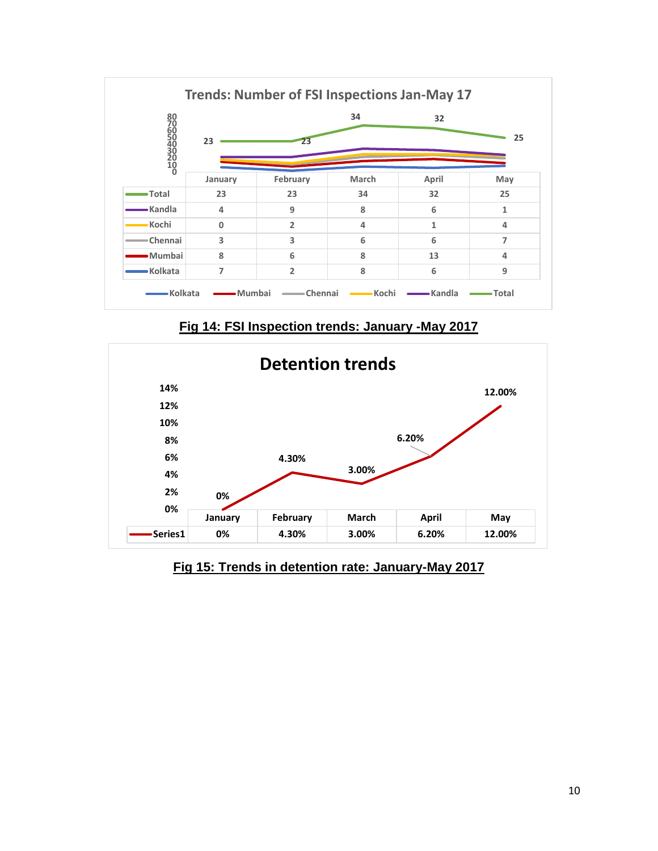

**Fig 14: FSI Inspection trends: January -May 2017**



**Fig 15: Trends in detention rate: January-May 2017**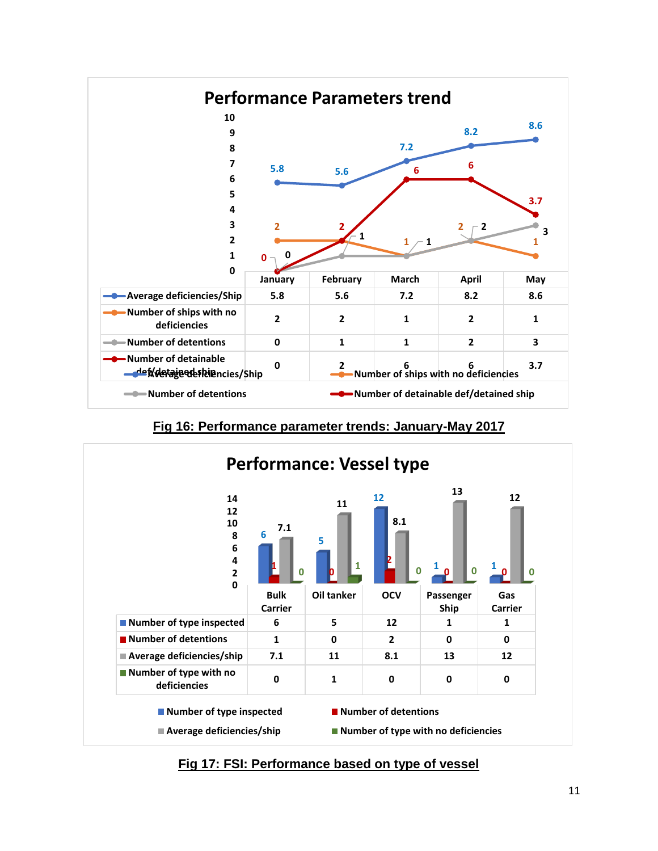

**Fig 16: Performance parameter trends: January-May 2017**



**Fig 17: FSI: Performance based on type of vessel**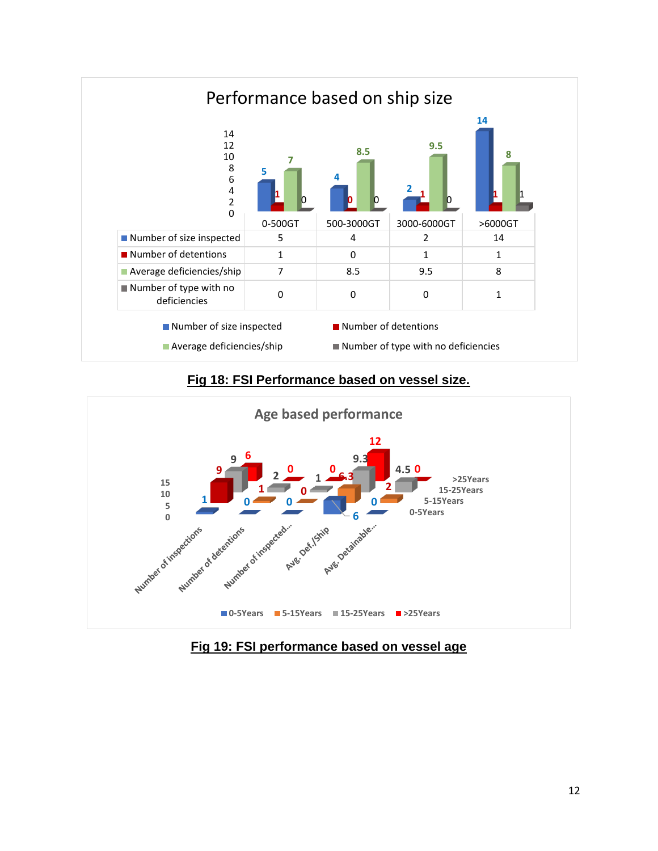

#### **Fig 18: FSI Performance based on vessel size.**



**Fig 19: FSI performance based on vessel age**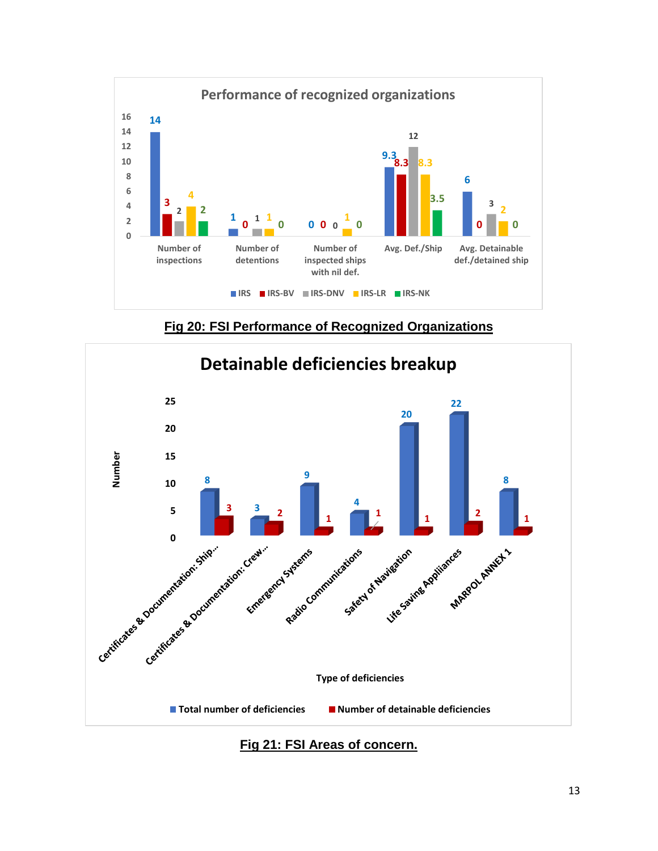

**Fig 20: FSI Performance of Recognized Organizations**



**Fig 21: FSI Areas of concern.**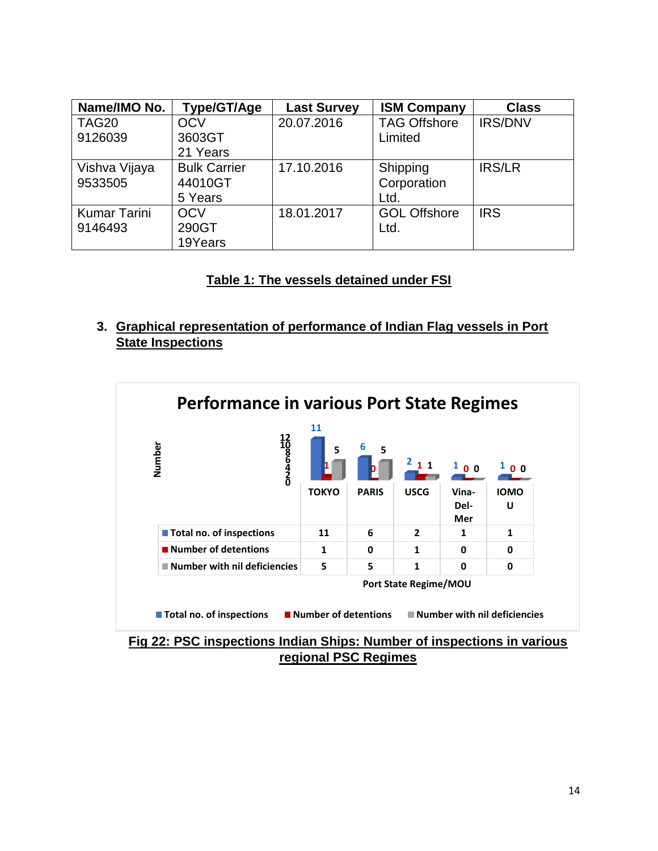| Name/IMO No.        | Type/GT/Age         | <b>Last Survey</b> | <b>ISM Company</b>  | <b>Class</b>   |
|---------------------|---------------------|--------------------|---------------------|----------------|
| TAG20               | <b>OCV</b>          | 20.07.2016         | <b>TAG Offshore</b> | <b>IRS/DNV</b> |
| 9126039             | 3603GT              |                    | Limited             |                |
|                     | 21 Years            |                    |                     |                |
| Vishva Vijaya       | <b>Bulk Carrier</b> | 17.10.2016         | Shipping            | <b>IRS/LR</b>  |
| 9533505             | 44010GT             |                    | Corporation         |                |
|                     | 5 Years             |                    | Ltd.                |                |
| <b>Kumar Tarini</b> | <b>OCV</b>          | 18.01.2017         | <b>GOL Offshore</b> | <b>IRS</b>     |
| 9146493             | 290GT               |                    | Ltd.                |                |
|                     | 19Years             |                    |                     |                |

#### **Table 1: The vessels detained under FSI**

#### **3. Graphical representation of performance of Indian Flag vessels in Port State Inspections**



**Fig 22: PSC inspections Indian Ships: Number of inspections in various regional PSC Regimes**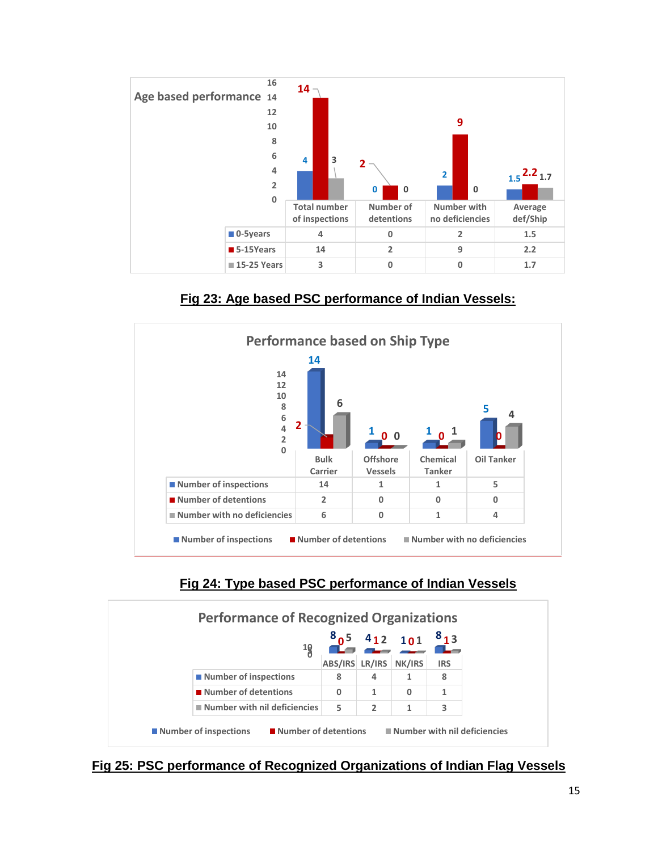

**Fig 23: Age based PSC performance of Indian Vessels:**



## **Fig 24: Type based PSC performance of Indian Vessels**



**Fig 25: PSC performance of Recognized Organizations of Indian Flag Vessels**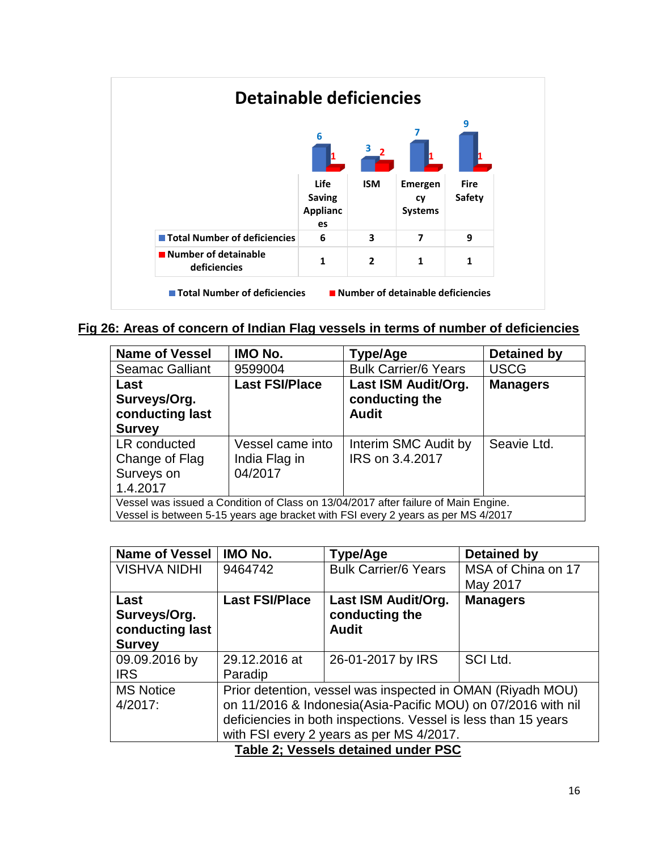

**Fig 26: Areas of concern of Indian Flag vessels in terms of number of deficiencies**

| <b>Name of Vessel</b>                                                              | IMO No.               | Type/Age                    | <b>Detained by</b> |  |  |
|------------------------------------------------------------------------------------|-----------------------|-----------------------------|--------------------|--|--|
| <b>Seamac Galliant</b>                                                             | 9599004               | <b>Bulk Carrier/6 Years</b> | <b>USCG</b>        |  |  |
| Last                                                                               | <b>Last FSI/Place</b> | Last ISM Audit/Org.         | <b>Managers</b>    |  |  |
| Surveys/Org.                                                                       |                       | conducting the              |                    |  |  |
| conducting last                                                                    |                       | <b>Audit</b>                |                    |  |  |
| <b>Survey</b>                                                                      |                       |                             |                    |  |  |
| LR conducted                                                                       | Vessel came into      | Interim SMC Audit by        | Seavie Ltd.        |  |  |
| Change of Flag                                                                     | India Flag in         | IRS on 3.4.2017             |                    |  |  |
| Surveys on                                                                         | 04/2017               |                             |                    |  |  |
| 1.4.2017                                                                           |                       |                             |                    |  |  |
| Vessel was issued a Condition of Class on 13/04/2017 after failure of Main Engine. |                       |                             |                    |  |  |
| Vessel is between 5-15 years age bracket with FSI every 2 years as per MS 4/2017   |                       |                             |                    |  |  |

| <b>Name of Vessel</b>               | IMO No.                                                        | Type/Age                    | <b>Detained by</b> |  |
|-------------------------------------|----------------------------------------------------------------|-----------------------------|--------------------|--|
| <b>VISHVA NIDHI</b>                 | 9464742                                                        | <b>Bulk Carrier/6 Years</b> | MSA of China on 17 |  |
|                                     |                                                                |                             | May 2017           |  |
| Last                                | <b>Last FSI/Place</b>                                          | Last ISM Audit/Org.         | <b>Managers</b>    |  |
| Surveys/Org.                        |                                                                | conducting the              |                    |  |
| conducting last                     |                                                                | <b>Audit</b>                |                    |  |
| <b>Survey</b>                       |                                                                |                             |                    |  |
| 09.09.2016 by                       | 29.12.2016 at                                                  | 26-01-2017 by IRS           | SCI Ltd.           |  |
| <b>IRS</b>                          | Paradip                                                        |                             |                    |  |
| <b>MS Notice</b>                    | Prior detention, vessel was inspected in OMAN (Riyadh MOU)     |                             |                    |  |
| $4/2017$ :                          | on 11/2016 & Indonesia(Asia-Pacific MOU) on 07/2016 with nil   |                             |                    |  |
|                                     | deficiencies in both inspections. Vessel is less than 15 years |                             |                    |  |
|                                     | with FSI every 2 years as per MS 4/2017.                       |                             |                    |  |
| Table 2: Vessels detained under PSC |                                                                |                             |                    |  |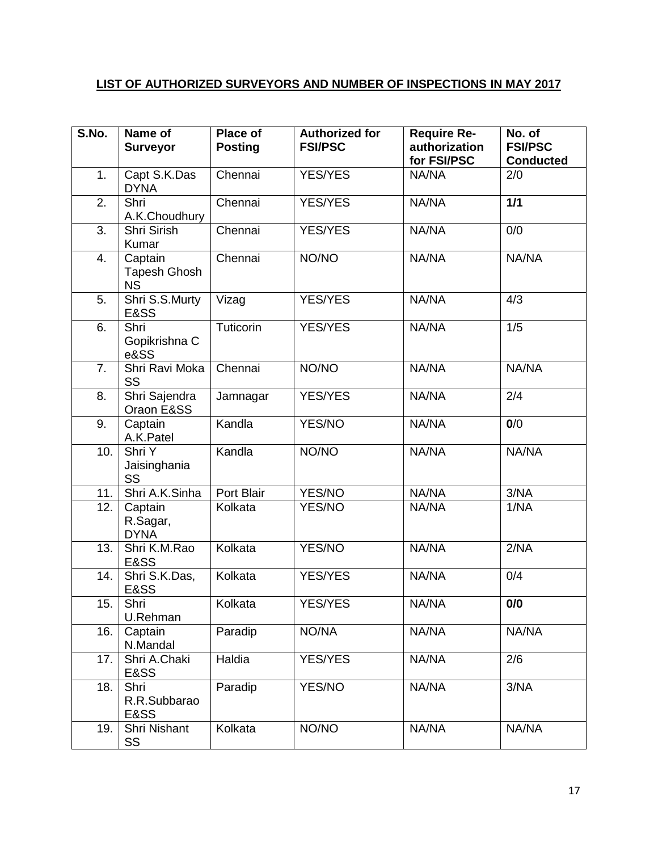# **LIST OF AUTHORIZED SURVEYORS AND NUMBER OF INSPECTIONS IN MAY 2017**

| S.No. | Name of<br><b>Surveyor</b>                  | Place of<br><b>Posting</b> | <b>Authorized for</b><br><b>FSI/PSC</b> | <b>Require Re-</b><br>authorization<br>for FSI/PSC | No. of<br><b>FSI/PSC</b><br><b>Conducted</b> |
|-------|---------------------------------------------|----------------------------|-----------------------------------------|----------------------------------------------------|----------------------------------------------|
| 1.    | Capt S.K.Das<br><b>DYNA</b>                 | Chennai                    | <b>YES/YES</b>                          | NA/NA                                              | 2/0                                          |
| 2.    | Shri<br>A.K.Choudhury                       | Chennai                    | <b>YES/YES</b>                          | NA/NA                                              | 1/1                                          |
| 3.    | Shri Sirish<br>Kumar                        | Chennai                    | <b>YES/YES</b>                          | NA/NA                                              | 0/0                                          |
| 4.    | Captain<br><b>Tapesh Ghosh</b><br><b>NS</b> | Chennai                    | NO/NO                                   | NA/NA                                              | NA/NA                                        |
| 5.    | Shri S.S.Murty<br>E&SS                      | Vizag                      | <b>YES/YES</b>                          | NA/NA                                              | 4/3                                          |
| 6.    | Shri<br>Gopikrishna C<br>e&SS               | Tuticorin                  | YES/YES                                 | NA/NA                                              | 1/5                                          |
| 7.    | Shri Ravi Moka<br>SS                        | Chennai                    | NO/NO                                   | NA/NA                                              | NA/NA                                        |
| 8.    | Shri Sajendra<br>Oraon E&SS                 | Jamnagar                   | <b>YES/YES</b>                          | NA/NA                                              | 2/4                                          |
| 9.    | Captain<br>A.K.Patel                        | Kandla                     | YES/NO                                  | NA/NA                                              | 0/0                                          |
| 10.   | Shri Y<br>Jaisinghania<br>SS                | Kandla                     | NO/NO                                   | NA/NA                                              | NA/NA                                        |
| 11.   | Shri A.K.Sinha                              | Port Blair                 | YES/NO                                  | NA/NA                                              | 3/NA                                         |
| 12.   | Captain<br>R.Sagar,<br><b>DYNA</b>          | Kolkata                    | YES/NO                                  | NA/NA                                              | 1/NA                                         |
| 13.   | Shri K.M.Rao<br>E&SS                        | Kolkata                    | YES/NO                                  | NA/NA                                              | 2/NA                                         |
| 14.   | Shri S.K.Das,<br>E&SS                       | Kolkata                    | <b>YES/YES</b>                          | NA/NA                                              | 0/4                                          |
| 15.   | Shri<br>U.Rehman                            | Kolkata                    | YES/YES                                 | NA/NA                                              | 0/0                                          |
| 16.   | Captain<br>N.Mandal                         | Paradip                    | NO/NA                                   | NA/NA                                              | NA/NA                                        |
| 17.   | Shri A.Chaki<br>E&SS                        | Haldia                     | <b>YES/YES</b>                          | NA/NA                                              | 2/6                                          |
| 18.   | Shri<br>R.R.Subbarao<br>E&SS                | Paradip                    | YES/NO                                  | NA/NA                                              | 3/NA                                         |
| 19.   | Shri Nishant<br>SS                          | Kolkata                    | NO/NO                                   | NA/NA                                              | NA/NA                                        |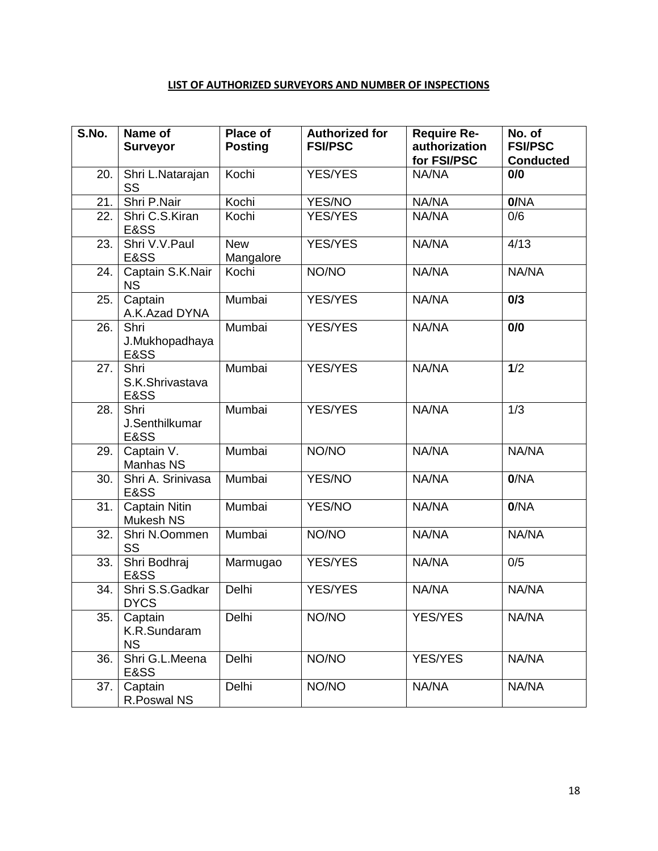#### **LIST OF AUTHORIZED SURVEYORS AND NUMBER OF INSPECTIONS**

| S.No. | Name of<br><b>Surveyor</b>           | Place of<br><b>Posting</b> | <b>Authorized for</b><br><b>FSI/PSC</b> | <b>Require Re-</b><br>authorization<br>for FSI/PSC | No. of<br><b>FSI/PSC</b><br><b>Conducted</b> |
|-------|--------------------------------------|----------------------------|-----------------------------------------|----------------------------------------------------|----------------------------------------------|
| 20.   | Shri L.Natarajan<br>SS               | Kochi                      | <b>YES/YES</b>                          | NA/NA                                              | 0/0                                          |
| 21.   | Shri P.Nair                          | Kochi                      | YES/NO                                  | NA/NA                                              | 0/NA                                         |
| 22.   | Shri C.S.Kiran<br>E&SS               | Kochi                      | <b>YES/YES</b>                          | NA/NA                                              | 0/6                                          |
| 23.   | Shri V.V.Paul<br>E&SS                | <b>New</b><br>Mangalore    | <b>YES/YES</b>                          | NA/NA                                              | 4/13                                         |
| 24.   | Captain S.K.Nair<br><b>NS</b>        | Kochi                      | NO/NO                                   | NA/NA                                              | NA/NA                                        |
| 25.   | Captain<br>A.K.Azad DYNA             | Mumbai                     | <b>YES/YES</b>                          | NA/NA                                              | 0/3                                          |
| 26.   | Shri<br>J.Mukhopadhaya<br>E&SS       | Mumbai                     | <b>YES/YES</b>                          | NA/NA                                              | 0/0                                          |
| 27.   | Shri<br>S.K.Shrivastava<br>E&SS      | Mumbai                     | <b>YES/YES</b>                          | NA/NA                                              | 1/2                                          |
| 28.   | Shri<br>J.Senthilkumar<br>E&SS       | Mumbai                     | <b>YES/YES</b>                          | NA/NA                                              | 1/3                                          |
| 29.   | Captain V.<br>Manhas NS              | Mumbai                     | NO/NO                                   | NA/NA                                              | NA/NA                                        |
| 30.   | Shri A. Srinivasa<br>E&SS            | Mumbai                     | <b>YES/NO</b>                           | NA/NA                                              | 0/NA                                         |
| 31.   | <b>Captain Nitin</b><br>Mukesh NS    | Mumbai                     | YES/NO                                  | NA/NA                                              | 0/NA                                         |
| 32.   | Shri N.Oommen<br>SS                  | Mumbai                     | NO/NO                                   | NA/NA                                              | NA/NA                                        |
| 33.   | Shri Bodhraj<br>E&SS                 | Marmugao                   | <b>YES/YES</b>                          | NA/NA                                              | 0/5                                          |
| 34.   | Shri S.S.Gadkar<br><b>DYCS</b>       | Delhi                      | <b>YES/YES</b>                          | NA/NA                                              | NA/NA                                        |
| 35.   | Captain<br>K.R.Sundaram<br><b>NS</b> | Delhi                      | NO/NO                                   | <b>YES/YES</b>                                     | NA/NA                                        |
| 36.   | Shri G.L.Meena<br>E&SS               | Delhi                      | NO/NO                                   | <b>YES/YES</b>                                     | NA/NA                                        |
| 37.   | Captain<br>R.Poswal NS               | Delhi                      | NO/NO                                   | NA/NA                                              | NA/NA                                        |